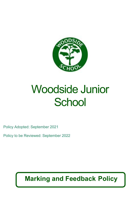

# Woodside Junior **School**

Policy Adopted: September 2021

Policy to be Reviewed: September 2022

## **Marking and Feedback Policy**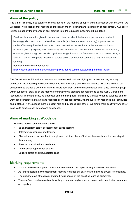#### **Aims of the policy**

The aim of this policy is to establish clear guidance for the marking of pupils' work at Woodside Junior School. At Woodside, we recognise that marking and feedback are an important and integral part of assessment. Our policy is underpinned by the evidence of best practice from the Education Endowment Foundation.

Feedback is information given to the learner or teacher about the learner's performance relative to learning goals or outcomes. It should aim towards (and be capable of producing) improvement in students' learning. Feedback redirects or refocuses either the teacher's or the learner's actions to achieve a goal, by aligning effort and activity with an outcome. This feedback can be verbal or written, or can be given through tests or via digital technology. It can come from a teacher or someone taking a teaching role, or from peers. Research studies show that feedback can have a very high effect on learning.

Education Endowment Foundation

<https://educationendowmentfoundation.org.uk/evidence-summaries/teaching-learning-toolkit/>

The Department for Education's research into teacher workload has highlighted written marking as a key contributing factor leading to concerns over teachers' well-being and work-life balance. With this in mind, our school aims to provide a system of marking that is consistent and continuous across each class and year group within our school, drawing on the many different ways that teachers can respond to pupils' work. Marking and feedback will inform planning, be diagnostic and enhance pupils' learning by ultimately offering guidance on how work can be improved. Marking and feedback allows for assessment, where pupils can recognise their difficulties and mistakes. It encourages them to accept help and guidance from others. We aim to mark positively whenever possible to enhance self-esteem and confidence.

#### **Aims of marking at Woodside:**

Effective marking and feedback should:

- Be an important part of assessment of pupils' learning
- Inform future planning and learning
- Give written and oral feedback to pupils and to inform them of their achievements and the next steps in their learning
- Show work is valued and celebrated
- Demonstrate appreciation of effort
- Corrects errors and misunderstandings

#### **Marking requirements**

- Work is marked with a green pen so that compared to the pupils' writing, it is easily identifiable.
- As far as possible, acknowledgement marking is carried out daily or when a piece of work is completed.
- The primary focus of feedback and marking is based on the specified learning objectives.
- Teachers' and teaching assistants' writing is neat and legible modelling accurate punctuation, grammar and spelling.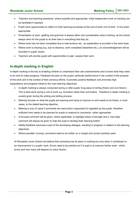- Teachers and teaching assistants, where possible and appropriate, initial independent work so tracking can be facilitated if required.
- Pupils have opportunities to reflect on their learning processes at the end of each unit of work –if and when appropriate.
- Presentation of work, spelling and grammar is always taken into consideration when marking, as the school always aims for the pupils to do their best in everything that they do.
- Where work has not been completed due to interventions etc., an explanation is provided in the work book.
- Where work is missing (e.g. due to absence, work completed elsewhere etc.), an acknowledgement will be recorded in pupils' books.
- Teachers will provide pupils with opportunities to peer -assess their work.

### **In-depth marking in English**

In-depth marking is the key to enabling children to understand their own achievements and to know what they need to do next to make progress. Feedback focuses on the pupils' particular performance in the context of the purpose of the work and in the context of their previous efforts. It provides positive feedback and promotes high expectations and progress linked to the main learning objectives.

- In-depth marking is always conducted during or after pupils' long piece of writing (fiction and non-fiction). This is best done during a unit of work e.g. formative rather than summative. Therefore in-depth marking is usually given during the writing and editing process.
- Marking focuses on what the pupils are learning and trying to improve on and needs to be linked, in most cases, to the stated learning objective.
- Marking is only of value if comments are read and/or responded to/ regarded by the pupils, therefore sufficient time needs to be planned for pupils to respond to comments –when appropriate
- A focused comment will be given, where applicable, to highlight areas of strength and a 'next step' comment will always be given to help the pupil to develop their learning further.
- Ideally feedback becomes a part of the developing dialogue, resulting in progress in relation to the learning objectives.
- Where possible 'running' comments need to be written on a margin and correct symbols used.

At Woodside Junior School we believe that correcting has its place in marking but only when it contributes to an improvement in a pupils' work. Errors need to be pointed out if a pupil is to improve his/her work - which errors and how many will depend on many factors.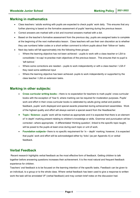#### **Marking in mathematics**

- Class teachers / adults working with pupils are expected to check pupils' work daily. This ensures that any further planning is based on the formative assessment of pupils' learning during the previous lesson.
- Correct answers are marked with a tick and incorrect answers marked with a dot.
- Based on the teacher's formative assessment from the previous day, pupils are assigned tasks to complete at the beginning of the next mathematics lesson. Class teachers will use their own discretion as to whether they use numbers/ letter codes or a short written comment to inform pupils about their 'follow-on' tasks.
- Next day tasks will fall approximately into the following three groups:
	- $\circ$  Where the learning objective has not been achieved pupils to work with a class teacher or LSA to consolidate / re-cap/ re-practise main objectives of the previous lesson. This ensures that no pupil is 'left behind.'
	- $\circ$  Where some corrections are needed pupils to work independently or with a class teacher / LSA if they need some additional input
	- $\circ$  Where the learning objective has been achieved- pupils to work independently or supported by the class teacher / LSA on extension tasks.

#### **Marking in other subjects:**

- **Cross curricular writing books –** there is no expectation for teachers to mark pupils' cross-curricular books with the exception of Year 6, where marking can be required for moderation purposes. Pupils' work and effort in their cross-curricular books is celebrated by adults giving verbal and positive feedback, pupils' work displayed and special awards presented during achievement assemblies. Work of the highest quality and effort will always warrant a special award from the Headteacher.
- **Topic / Science** pupils' work will be marked as appropriate and it is expected that there is an element of 'in depth' marking present relating to children's knowledge or skills. Grammar and punctuation will be corrected –where appropriate. A differentiated 'thinking question', linked to the specific topic taught, will be posed to the pupils at least once during each topic or unit of work.
- **Foundation subjects-** there is no specific requirement for 'in depth' marking; however, it is expected that pupils' work and effort will be acknowledged either by 'ticks' (as per Appendix A) or verbal feedback.

#### **Verbal Feedback**

Recent research highlights verbal feedback as the most effective form of feedback. Getting children to talk together before answering questions increases their achievement. It is the most natural and frequent feedback experience for children.

Teachers' oral feedback is to be focused on the learning intention of the specific tasks. Feedback can be given to an individual, to a group or to the whole class. Where verbal feedback has been used to give a response to written work the task will be annotated VF (verbal feedback) and may contain brief notes on the discussion had.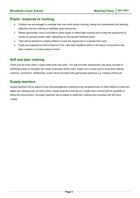#### **Pupils' response to marking**

- Children are encouraged to evaluate their own work before marking, taking into consideration the learning objective and any marking or feedback given previously.
- Where appropriate, time is provided to allow pupils to reflect after marking and to take the opportunity to correct or practise certain skills, depending on the specific feedback given.
- Time will be planned to enable children to have the opportunity to evaluate their work.
- Pupils are expected to show evidence of the 'next step' feedback either in the piece of work which has been marked or in future pieces of work.

#### **Self and peer marking**

There may be times when a pupil marks their own work. For self and peer assessment, the same concept of identifying areas of strengths and areas to develop will be used. Pupils use a purple pen to show their editing/ marking / corrections. Additionally, pupils will be provided with appropriate guidance e.g. marking criteria etc.

#### **Supply teachers**

Supply teachers will be asked to use acknowledgement marking as we recognise that it is often difficult to read and digest the marking policy at short notice. Supply teachers working on a longer term contract will be expected to follow the school policy. All supply teachers will be asked to initial their marking and annotate with the word 'supply'.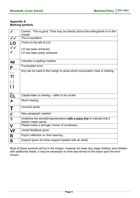#### **Appendix A Marking symbols**

|                            | Correct. This is good. Ticks may be directly above the writing/work or in the                  |
|----------------------------|------------------------------------------------------------------------------------------------|
|                            | margin.                                                                                        |
| $\overline{\checkmark}$    | This is excellent.                                                                             |
| $\overline{\text{LO}}$     | (Tick/s to the left of LO)                                                                     |
| $\checkmark$               | LO has been achieved                                                                           |
|                            | LO has been partly achieved                                                                    |
| sp                         | Indicates a spelling mistake                                                                   |
| р                          | <b>Punctuation error</b>                                                                       |
| $\ddot{\phantom{0}}$<br>?! | Any can be used in the margin to show which punctuation mark is missing.                       |
| <b>CL</b>                  | Capital letter is missing - letter to be circled                                               |
| $\Lambda$                  | Word missing                                                                                   |
| Τ                          | Incorrect tense                                                                                |
| $\mathcal{U}$              | New paragraph needed                                                                           |
| $\boldsymbol{?}$           | Underline the word/phrase/sentence with a wavy line to indicate that it<br>doesn't make sense. |
| $\mathbf V$                | Please make a stronger choice of vocabulary                                                    |
| <b>VF</b>                  | Verbal feedback given                                                                          |
| R                          | Pupil's reflection on their learning                                                           |
| S                          | Support given (to show support needed with an adult)                                           |

Most of these symbols will be in the margin, however for lower key stage children and children with additional needs, it may be necessary to write above/next to the exact spot the error occurs.